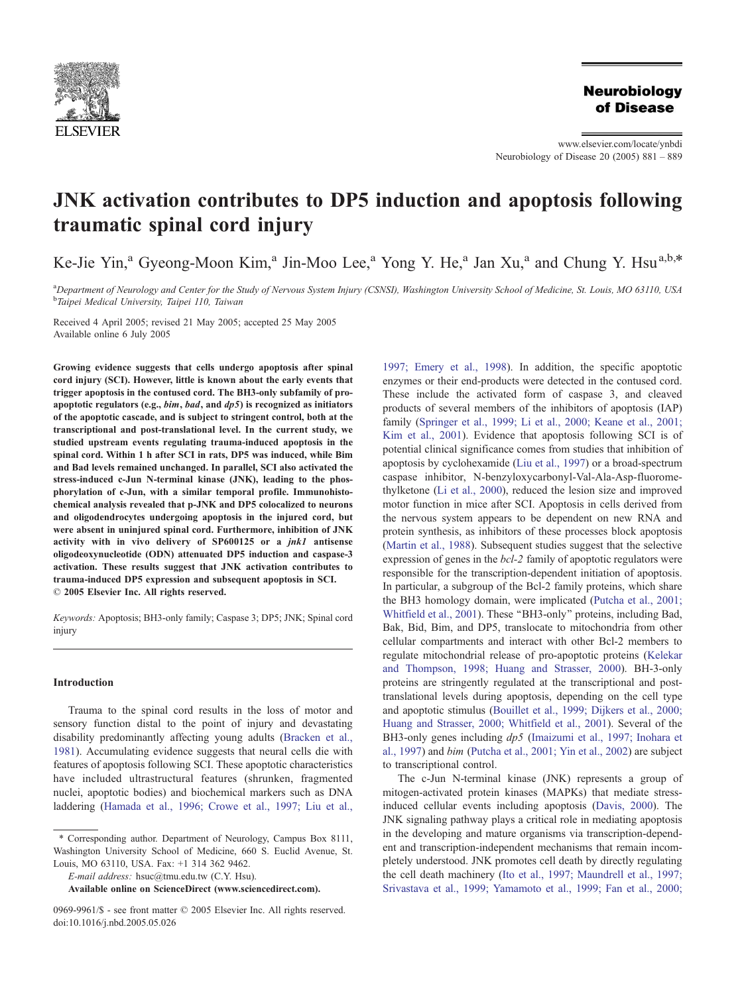

## **Neurobiology** of Disease

www.elsevier.com/locate/ynbdi Neurobiology of Disease 20 (2005) 881 – 889

# JNK activation contributes to DP5 induction and apoptosis following traumatic spinal cord injury

Ke-Jie Yin,<sup>a</sup> Gyeong-Moon Kim,<sup>a</sup> Jin-Moo Lee,<sup>a</sup> Yong Y. He,<sup>a</sup> Jan Xu,<sup>a</sup> and Chung Y. Hsu<sup>a,b,\*</sup>

a Department of Neurology and Center for the Study of Nervous System Injury (CSNSI), Washington University School of Medicine, St. Louis, MO 63110, USA <sup>b</sup>Taipei Medical University, Taipei 110, Taiwan

Received 4 April 2005; revised 21 May 2005; accepted 25 May 2005 Available online 6 July 2005

Growing evidence suggests that cells undergo apoptosis after spinal cord injury (SCI). However, little is known about the early events that trigger apoptosis in the contused cord. The BH3-only subfamily of proapoptotic regulators (e.g.,  $\lim$ ,  $\lim_{h \to 0}$ , and  $\ln(1/h)$ ) is recognized as initiators of the apoptotic cascade, and is subject to stringent control, both at the transcriptional and post-translational level. In the current study, we studied upstream events regulating trauma-induced apoptosis in the spinal cord. Within 1 h after SCI in rats, DP5 was induced, while Bim and Bad levels remained unchanged. In parallel, SCI also activated the stress-induced c-Jun N-terminal kinase (JNK), leading to the phosphorylation of c-Jun, with a similar temporal profile. Immunohistochemical analysis revealed that p-JNK and DP5 colocalized to neurons and oligodendrocytes undergoing apoptosis in the injured cord, but were absent in uninjured spinal cord. Furthermore, inhibition of JNK activity with in vivo delivery of SP600125 or a jnk1 antisense oligodeoxynucleotide (ODN) attenuated DP5 induction and caspase-3 activation. These results suggest that JNK activation contributes to trauma-induced DP5 expression and subsequent apoptosis in SCI.  $© 2005 Elsevier Inc. All rights reserved.$ 

Keywords: Apoptosis; BH3-only family; Caspase 3; DP5; JNK; Spinal cord injury

## Introduction

Trauma to the spinal cord results in the loss of motor and sensory function distal to the point of injury and devastating disability predominantly affecting young adults ([Bracken et al.,](#page-7-0) 1981). Accumulating evidence suggests that neural cells die with features of apoptosis following SCI. These apoptotic characteristics have included ultrastructural features (shrunken, fragmented nuclei, apoptotic bodies) and biochemical markers such as DNA laddering ([Hamada et al., 1996; Crowe et al., 1997; Liu et al.,](#page-7-0)

E-mail address: hsuc@tmu.edu.tw (C.Y. Hsu).

1997; Emery et al., 1998). In addition, the specific apoptotic enzymes or their end-products were detected in the contused cord. These include the activated form of caspase 3, and cleaved products of several members of the inhibitors of apoptosis (IAP) family ([Springer et al., 1999; Li et al., 2000; Keane et al., 2001;](#page-8-0) Kim et al., 2001). Evidence that apoptosis following SCI is of potential clinical significance comes from studies that inhibition of apoptosis by cyclohexamide ([Liu et al., 1997\)](#page-8-0) or a broad-spectrum caspase inhibitor, N-benzyloxycarbonyl-Val-Ala-Asp-fluoromethylketone ([Li et al., 2000\)](#page-8-0), reduced the lesion size and improved motor function in mice after SCI. Apoptosis in cells derived from the nervous system appears to be dependent on new RNA and protein synthesis, as inhibitors of these processes block apoptosis ([Martin et al., 1988\)](#page-8-0). Subsequent studies suggest that the selective expression of genes in the bcl-2 family of apoptotic regulators were responsible for the transcription-dependent initiation of apoptosis. In particular, a subgroup of the Bcl-2 family proteins, which share the BH3 homology domain, were implicated ([Putcha et al., 2001;](#page-8-0) Whitfield et al., 2001). These ''BH3-only'' proteins, including Bad, Bak, Bid, Bim, and DP5, translocate to mitochondria from other cellular compartments and interact with other Bcl-2 members to regulate mitochondrial release of pro-apoptotic proteins ([Kelekar](#page-7-0) and Thompson, 1998; Huang and Strasser, 2000). BH-3-only proteins are stringently regulated at the transcriptional and posttranslational levels during apoptosis, depending on the cell type and apoptotic stimulus ([Bouillet et al., 1999; Dijkers et al., 2000;](#page-7-0) Huang and Strasser, 2000; Whitfield et al., 2001). Several of the BH3-only genes including dp5 ([Imaizumi et al., 1997; Inohara et](#page-7-0) al., 1997) and bim ([Putcha et al., 2001; Yin et al., 2002\)](#page-8-0) are subject to transcriptional control.

The c-Jun N-terminal kinase (JNK) represents a group of mitogen-activated protein kinases (MAPKs) that mediate stressinduced cellular events including apoptosis ([Davis, 2000\)](#page-7-0). The JNK signaling pathway plays a critical role in mediating apoptosis in the developing and mature organisms via transcription-dependent and transcription-independent mechanisms that remain incompletely understood. JNK promotes cell death by directly regulating the cell death machinery ([Ito et al., 1997; Maundrell et al., 1997;](#page-7-0) Srivastava et al., 1999; Yamamoto et al., 1999; Fan et al., 2000;

<sup>\*</sup> Corresponding author. Department of Neurology, Campus Box 8111, Washington University School of Medicine, 660 S. Euclid Avenue, St. Louis, MO 63110, USA. Fax: +1 314 362 9462.

Available online on ScienceDirect ([www.sciencedirect.com](http://www.sciencedirect.com)).

<sup>0969-9961/\$ -</sup> see front matter © 2005 Elsevier Inc. All rights reserved. doi:10.1016/j.nbd.2005.05.026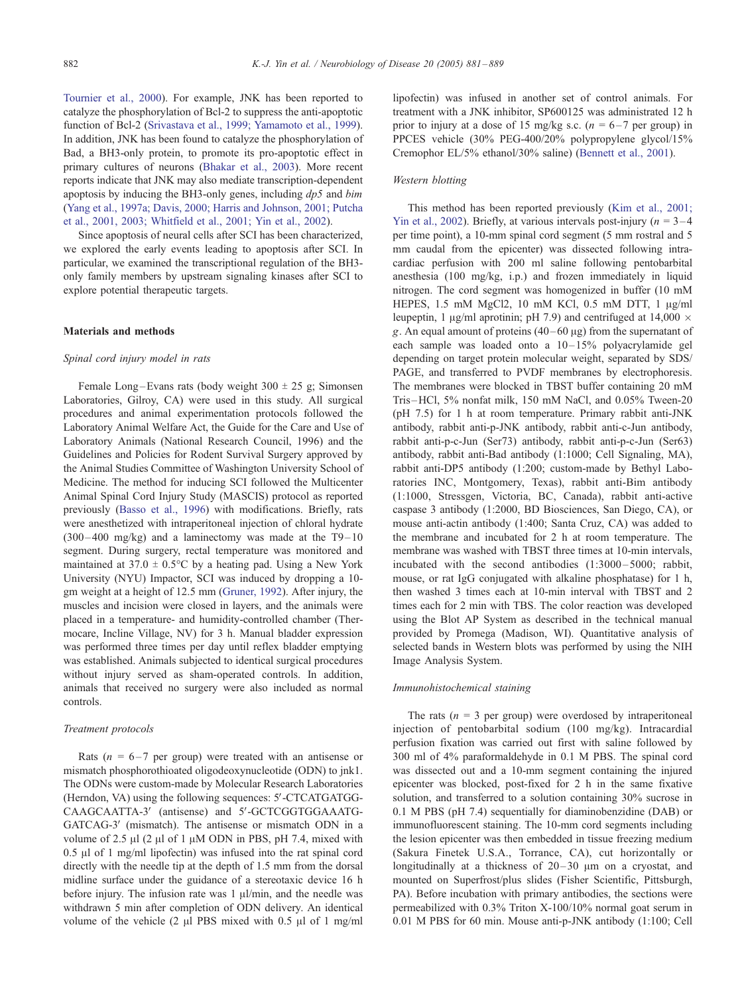Tournier et al., 2000). For example, JNK has been reported to catalyze the phosphorylation of Bcl-2 to suppress the anti-apoptotic function of Bcl-2 ([Srivastava et al., 1999; Yamamoto et al., 1999\)](#page-8-0). In addition, JNK has been found to catalyze the phosphorylation of Bad, a BH3-only protein, to promote its pro-apoptotic effect in primary cultures of neurons ([Bhakar et al., 2003\)](#page-7-0). More recent reports indicate that JNK may also mediate transcription-dependent apoptosis by inducing the BH3-only genes, including  $dp5$  and  $bim$ ([Yang et al., 1997a; Davis, 2000; Harris and Johnson, 2001; Putcha](#page-8-0) et al., 2001, 2003; Whitfield et al., 2001; Yin et al., 2002).

Since apoptosis of neural cells after SCI has been characterized, we explored the early events leading to apoptosis after SCI. In particular, we examined the transcriptional regulation of the BH3 only family members by upstream signaling kinases after SCI to explore potential therapeutic targets.

## Materials and methods

## Spinal cord injury model in rats

Female Long-Evans rats (body weight  $300 \pm 25$  g; Simonsen Laboratories, Gilroy, CA) were used in this study. All surgical procedures and animal experimentation protocols followed the Laboratory Animal Welfare Act, the Guide for the Care and Use of Laboratory Animals (National Research Council, 1996) and the Guidelines and Policies for Rodent Survival Surgery approved by the Animal Studies Committee of Washington University School of Medicine. The method for inducing SCI followed the Multicenter Animal Spinal Cord Injury Study (MASCIS) protocol as reported previously ([Basso et al., 1996\)](#page-7-0) with modifications. Briefly, rats were anesthetized with intraperitoneal injection of chloral hydrate  $(300-400 \text{ mg/kg})$  and a laminectomy was made at the T9-10 segment. During surgery, rectal temperature was monitored and maintained at  $37.0 \pm 0.5^{\circ}$ C by a heating pad. Using a New York University (NYU) Impactor, SCI was induced by dropping a 10 gm weight at a height of 12.5 mm ([Gruner, 1992\)](#page-7-0). After injury, the muscles and incision were closed in layers, and the animals were placed in a temperature- and humidity-controlled chamber (Thermocare, Incline Village, NV) for 3 h. Manual bladder expression was performed three times per day until reflex bladder emptying was established. Animals subjected to identical surgical procedures without injury served as sham-operated controls. In addition, animals that received no surgery were also included as normal controls.

#### Treatment protocols

Rats ( $n = 6 - 7$  per group) were treated with an antisense or mismatch phosphorothioated oligodeoxynucleotide (ODN) to jnk1. The ODNs were custom-made by Molecular Research Laboratories (Herndon, VA) using the following sequences: 5'-CTCATGATGG-CAAGCAATTA-3' (antisense) and 5'-GCTCGGTGGAAATG-GATCAG-3' (mismatch). The antisense or mismatch ODN in a volume of 2.5  $\mu$ l (2  $\mu$ l of 1  $\mu$ M ODN in PBS, pH 7.4, mixed with  $0.5$   $\mu$ l of 1 mg/ml lipofectin) was infused into the rat spinal cord directly with the needle tip at the depth of 1.5 mm from the dorsal midline surface under the guidance of a stereotaxic device 16 h before injury. The infusion rate was  $1 \mu l/min$ , and the needle was withdrawn 5 min after completion of ODN delivery. An identical volume of the vehicle  $(2 \text{ ul PBS mixed with } 0.5 \text{ ul of } 1 \text{ mg/ml})$  lipofectin) was infused in another set of control animals. For treatment with a JNK inhibitor, SP600125 was administrated 12 h prior to injury at a dose of 15 mg/kg s.c.  $(n = 6 - 7 \text{ per group})$  in PPCES vehicle (30% PEG-400/20% polypropylene glycol/15% Cremophor EL/5% ethanol/30% saline) ([Bennett et al., 2001\)](#page-7-0).

#### Western blotting

This method has been reported previously ([Kim et al., 2001;](#page-8-0) Yin et al., 2002). Briefly, at various intervals post-injury ( $n = 3-4$ ) per time point), a 10-mm spinal cord segment (5 mm rostral and 5 mm caudal from the epicenter) was dissected following intracardiac perfusion with 200 ml saline following pentobarbital anesthesia (100 mg/kg, i.p.) and frozen immediately in liquid nitrogen. The cord segment was homogenized in buffer (10 mM HEPES, 1.5 mM MgCl2, 10 mM KCl, 0.5 mM DTT, 1  $\mu$ g/ml leupeptin, 1  $\mu$ g/ml aprotinin; pH 7.9) and centrifuged at 14,000  $\times$ g. An equal amount of proteins  $(40-60 \mu g)$  from the supernatant of each sample was loaded onto a 10-15% polyacrylamide gel depending on target protein molecular weight, separated by SDS/ PAGE, and transferred to PVDF membranes by electrophoresis. The membranes were blocked in TBST buffer containing 20 mM Tris –HCl, 5% nonfat milk, 150 mM NaCl, and 0.05% Tween-20 (pH 7.5) for 1 h at room temperature. Primary rabbit anti-JNK antibody, rabbit anti-p-JNK antibody, rabbit anti-c-Jun antibody, rabbit anti-p-c-Jun (Ser73) antibody, rabbit anti-p-c-Jun (Ser63) antibody, rabbit anti-Bad antibody (1:1000; Cell Signaling, MA), rabbit anti-DP5 antibody (1:200; custom-made by Bethyl Laboratories INC, Montgomery, Texas), rabbit anti-Bim antibody (1:1000, Stressgen, Victoria, BC, Canada), rabbit anti-active caspase 3 antibody (1:2000, BD Biosciences, San Diego, CA), or mouse anti-actin antibody (1:400; Santa Cruz, CA) was added to the membrane and incubated for 2 h at room temperature. The membrane was washed with TBST three times at 10-min intervals, incubated with the second antibodies (1:3000 – 5000; rabbit, mouse, or rat IgG conjugated with alkaline phosphatase) for 1 h, then washed 3 times each at 10-min interval with TBST and 2 times each for 2 min with TBS. The color reaction was developed using the Blot AP System as described in the technical manual provided by Promega (Madison, WI). Quantitative analysis of selected bands in Western blots was performed by using the NIH Image Analysis System.

#### Immunohistochemical staining

The rats  $(n = 3$  per group) were overdosed by intraperitoneal injection of pentobarbital sodium (100 mg/kg). Intracardial perfusion fixation was carried out first with saline followed by 300 ml of 4% paraformaldehyde in 0.1 M PBS. The spinal cord was dissected out and a 10-mm segment containing the injured epicenter was blocked, post-fixed for 2 h in the same fixative solution, and transferred to a solution containing 30% sucrose in 0.1 M PBS (pH 7.4) sequentially for diaminobenzidine (DAB) or immunofluorescent staining. The 10-mm cord segments including the lesion epicenter was then embedded in tissue freezing medium (Sakura Finetek U.S.A., Torrance, CA), cut horizontally or longitudinally at a thickness of  $20-30 \mu m$  on a cryostat, and mounted on Superfrost/plus slides (Fisher Scientific, Pittsburgh, PA). Before incubation with primary antibodies, the sections were permeabilized with 0.3% Triton X-100/10% normal goat serum in 0.01 M PBS for 60 min. Mouse anti-p-JNK antibody (1:100; Cell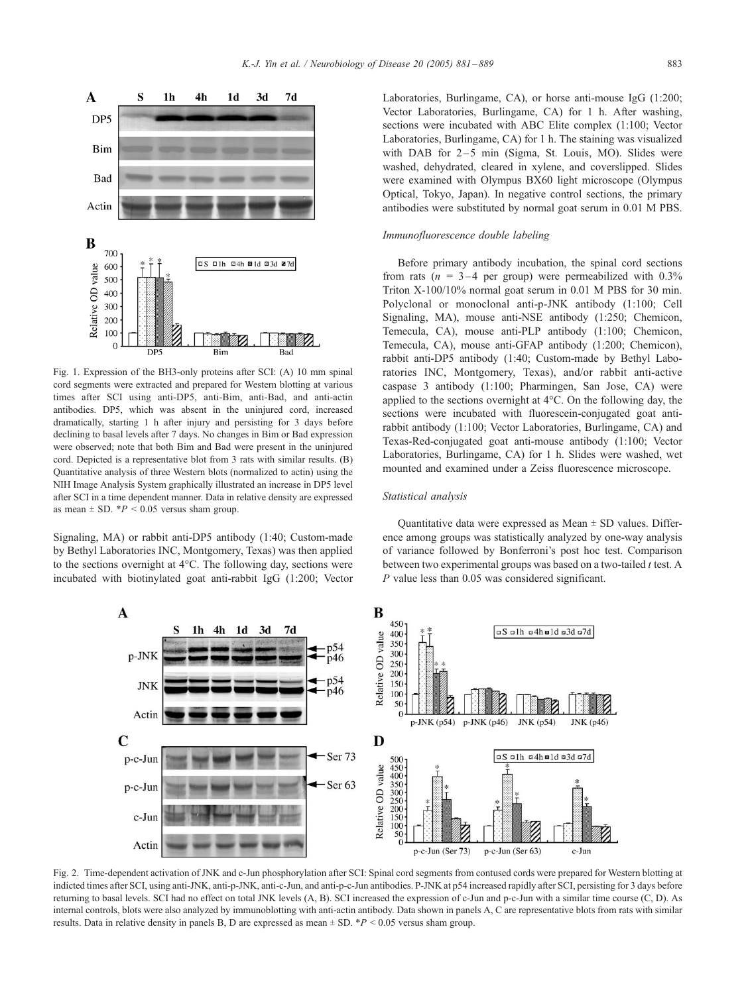<span id="page-2-0"></span>

Fig. 1. Expression of the BH3-only proteins after SCI: (A) 10 mm spinal cord segments were extracted and prepared for Western blotting at various times after SCI using anti-DP5, anti-Bim, anti-Bad, and anti-actin antibodies. DP5, which was absent in the uninjured cord, increased dramatically, starting 1 h after injury and persisting for 3 days before declining to basal levels after 7 days. No changes in Bim or Bad expression were observed; note that both Bim and Bad were present in the uninjured cord. Depicted is a representative blot from 3 rats with similar results. (B) Quantitative analysis of three Western blots (normalized to actin) using the NIH Image Analysis System graphically illustrated an increase in DP5 level after SCI in a time dependent manner. Data in relative density are expressed as mean  $\pm$  SD.  $*P < 0.05$  versus sham group.

Signaling, MA) or rabbit anti-DP5 antibody (1:40; Custom-made by Bethyl Laboratories INC, Montgomery, Texas) was then applied to the sections overnight at 4°C. The following day, sections were incubated with biotinylated goat anti-rabbit IgG (1:200; Vector Laboratories, Burlingame, CA), or horse anti-mouse IgG (1:200; Vector Laboratories, Burlingame, CA) for 1 h. After washing, sections were incubated with ABC Elite complex (1:100; Vector Laboratories, Burlingame, CA) for 1 h. The staining was visualized with DAB for  $2-5$  min (Sigma, St. Louis, MO). Slides were washed, dehydrated, cleared in xylene, and coverslipped. Slides were examined with Olympus BX60 light microscope (Olympus Optical, Tokyo, Japan). In negative control sections, the primary antibodies were substituted by normal goat serum in 0.01 M PBS.

#### Immunofluorescence double labeling

Before primary antibody incubation, the spinal cord sections from rats ( $n = 3-4$  per group) were permeabilized with 0.3% Triton X-100/10% normal goat serum in 0.01 M PBS for 30 min. Polyclonal or monoclonal anti-p-JNK antibody (1:100; Cell Signaling, MA), mouse anti-NSE antibody (1:250; Chemicon, Temecula, CA), mouse anti-PLP antibody (1:100; Chemicon, Temecula, CA), mouse anti-GFAP antibody (1:200; Chemicon), rabbit anti-DP5 antibody (1:40; Custom-made by Bethyl Laboratories INC, Montgomery, Texas), and/or rabbit anti-active caspase 3 antibody (1:100; Pharmingen, San Jose, CA) were applied to the sections overnight at  $4^{\circ}$ C. On the following day, the sections were incubated with fluorescein-conjugated goat antirabbit antibody (1:100; Vector Laboratories, Burlingame, CA) and Texas-Red-conjugated goat anti-mouse antibody (1:100; Vector Laboratories, Burlingame, CA) for 1 h. Slides were washed, wet mounted and examined under a Zeiss fluorescence microscope.

#### Statistical analysis

Quantitative data were expressed as Mean  $\pm$  SD values. Difference among groups was statistically analyzed by one-way analysis of variance followed by Bonferroni's post hoc test. Comparison between two experimental groups was based on a two-tailed  $t$  test. A P value less than 0.05 was considered significant.



Fig. 2. Time-dependent activation of JNK and c-Jun phosphorylation after SCI: Spinal cord segments from contused cords were prepared for Western blotting at indicted times after SCI, using anti-JNK, anti-p-JNK, anti-c-Jun, and anti-p-c-Jun antibodies. P-JNK at p54 increased rapidly after SCI, persisting for 3 days before returning to basal levels. SCI had no effect on total JNK levels (A, B). SCI increased the expression of c-Jun and p-c-Jun with a similar time course (C, D). As internal controls, blots were also analyzed by immunoblotting with anti-actin antibody. Data shown in panels A, C are representative blots from rats with similar results. Data in relative density in panels B, D are expressed as mean  $\pm$  SD. \*P < 0.05 versus sham group.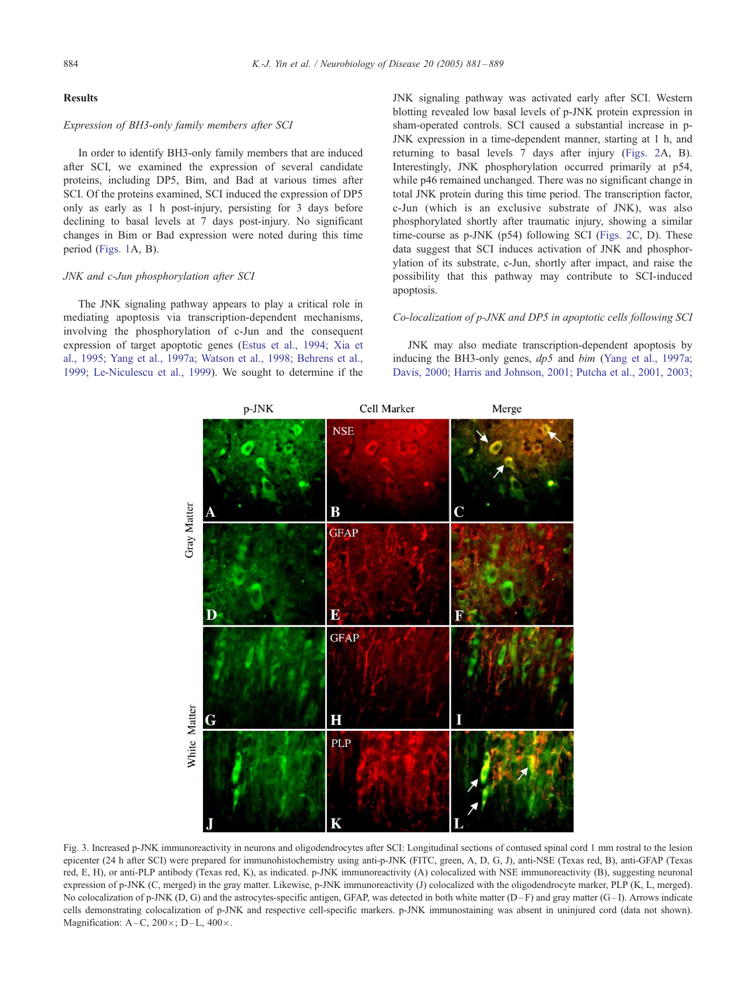#### <span id="page-3-0"></span>Results

## Expression of BH3-only family members after SCI

In order to identify BH3-only family members that are induced after SCI, we examined the expression of several candidate proteins, including DP5, Bim, and Bad at various times after SCI. Of the proteins examined, SCI induced the expression of DP5 only as early as 1 h post-injury, persisting for 3 days before declining to basal levels at 7 days post-injury. No significant changes in Bim or Bad expression were noted during this time period ([Figs. 1A](#page-2-0), B).

#### JNK and c-Jun phosphorylation after SCI

The JNK signaling pathway appears to play a critical role in mediating apoptosis via transcription-dependent mechanisms, involving the phosphorylation of c-Jun and the consequent expression of target apoptotic genes ([Estus et al., 1994; Xia et](#page-7-0) al., 1995; Yang et al., 1997a; Watson et al., 1998; Behrens et al., 1999; Le-Niculescu et al., 1999). We sought to determine if the JNK signaling pathway was activated early after SCI. Western blotting revealed low basal levels of p-JNK protein expression in sham-operated controls. SCI caused a substantial increase in p-JNK expression in a time-dependent manner, starting at 1 h, and returning to basal levels 7 days after injury ([Figs. 2A](#page-2-0), B). Interestingly, JNK phosphorylation occurred primarily at p54, while p46 remained unchanged. There was no significant change in total JNK protein during this time period. The transcription factor, c-Jun (which is an exclusive substrate of JNK), was also phosphorylated shortly after traumatic injury, showing a similar time-course as p-JNK (p54) following SCI ([Figs. 2C](#page-2-0), D). These data suggest that SCI induces activation of JNK and phosphorylation of its substrate, c-Jun, shortly after impact, and raise the possibility that this pathway may contribute to SCI-induced apoptosis.

#### Co-localization of p-JNK and DP5 in apoptotic cells following SCI

JNK may also mediate transcription-dependent apoptosis by inducing the BH3-only genes,  $dp5$  and  $bim$  ([Yang et al., 1997a;](#page-8-0) Davis, 2000; Harris and Johnson, 2001; Putcha et al., 2001, 2003;



Fig. 3. Increased p-JNK immunoreactivity in neurons and oligodendrocytes after SCI: Longitudinal sections of contused spinal cord 1 mm rostral to the lesion epicenter (24 h after SCI) were prepared for immunohistochemistry using anti-p-JNK (FITC, green, A, D, G, J), anti-NSE (Texas red, B), anti-GFAP (Texas red, E, H), or anti-PLP antibody (Texas red, K), as indicated. p-JNK immunoreactivity (A) colocalized with NSE immunoreactivity (B), suggesting neuronal expression of p-JNK (C, merged) in the gray matter. Likewise, p-JNK immunoreactivity (J) colocalized with the oligodendrocyte marker, PLP (K, L, merged). No colocalization of p-JNK (D, G) and the astrocytes-specific antigen, GFAP, was detected in both white matter  $(D-F)$  and gray matter  $(G-I)$ . Arrows indicate cells demonstrating colocalization of p-JNK and respective cell-specific markers. p-JNK immunostaining was absent in uninjured cord (data not shown). Magnification:  $A - C$ ,  $200 \times$ ;  $D - L$ ,  $400 \times$ .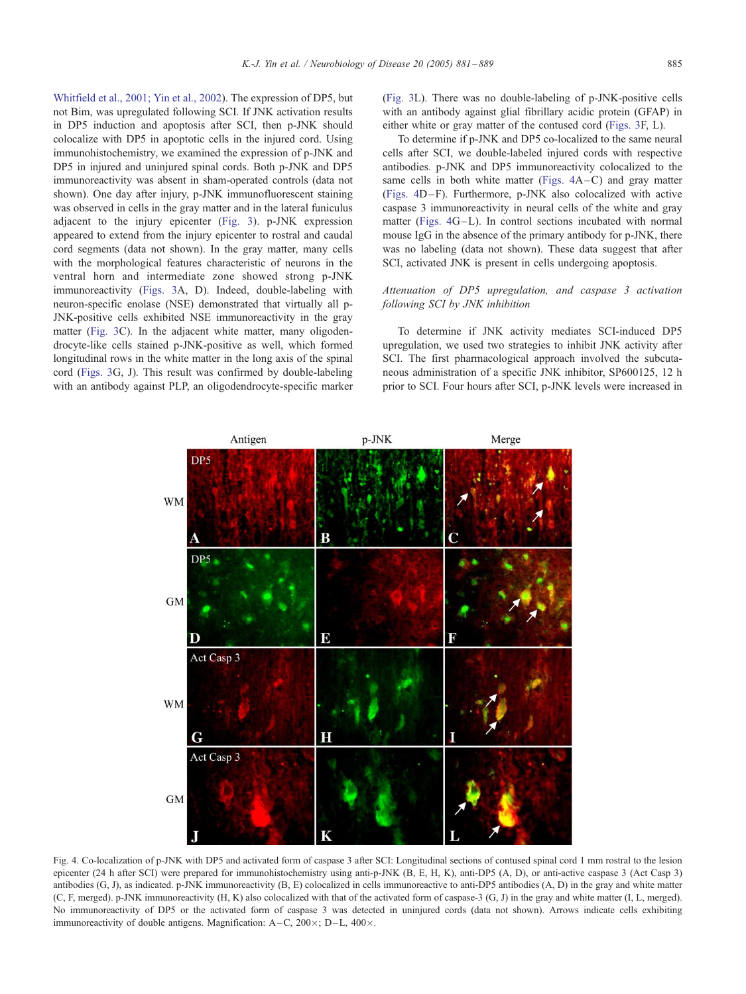Whitfield et al., 2001; Yin et al., 2002). The expression of DP5, but not Bim, was upregulated following SCI. If JNK activation results in DP5 induction and apoptosis after SCI, then p-JNK should colocalize with DP5 in apoptotic cells in the injured cord. Using immunohistochemistry, we examined the expression of p-JNK and DP5 in injured and uninjured spinal cords. Both p-JNK and DP5 immunoreactivity was absent in sham-operated controls (data not shown). One day after injury, p-JNK immunofluorescent staining was observed in cells in the gray matter and in the lateral funiculus adjacent to the injury epicenter ([Fig. 3\)](#page-3-0). p-JNK expression appeared to extend from the injury epicenter to rostral and caudal cord segments (data not shown). In the gray matter, many cells with the morphological features characteristic of neurons in the ventral horn and intermediate zone showed strong p-JNK immunoreactivity ([Figs. 3A](#page-3-0), D). Indeed, double-labeling with neuron-specific enolase (NSE) demonstrated that virtually all p-JNK-positive cells exhibited NSE immunoreactivity in the gray matter [\(Fig. 3](#page-3-0)C). In the adjacent white matter, many oligodendrocyte-like cells stained p-JNK-positive as well, which formed longitudinal rows in the white matter in the long axis of the spinal cord ([Figs. 3](#page-3-0)G, J). This result was confirmed by double-labeling with an antibody against PLP, an oligodendrocyte-specific marker ([Fig. 3L](#page-3-0)). There was no double-labeling of p-JNK-positive cells with an antibody against glial fibrillary acidic protein (GFAP) in either white or gray matter of the contused cord ([Figs. 3F](#page-3-0), L).

To determine if p-JNK and DP5 co-localized to the same neural cells after SCI, we double-labeled injured cords with respective antibodies. p-JNK and DP5 immunoreactivity colocalized to the same cells in both white matter (Figs.  $4A-C$ ) and gray matter (Figs. 4D-F). Furthermore, p-JNK also colocalized with active caspase 3 immunoreactivity in neural cells of the white and gray matter (Figs. 4G–L). In control sections incubated with normal mouse IgG in the absence of the primary antibody for p-JNK, there was no labeling (data not shown). These data suggest that after SCI, activated JNK is present in cells undergoing apoptosis.

## Attenuation of DP5 upregulation, and caspase 3 activation following SCI by JNK inhibition

To determine if JNK activity mediates SCI-induced DP5 upregulation, we used two strategies to inhibit JNK activity after SCI. The first pharmacological approach involved the subcutaneous administration of a specific JNK inhibitor, SP600125, 12 h prior to SCI. Four hours after SCI, p-JNK levels were increased in



Fig. 4. Co-localization of p-JNK with DP5 and activated form of caspase 3 after SCI: Longitudinal sections of contused spinal cord 1 mm rostral to the lesion epicenter (24 h after SCI) were prepared for immunohistochemistry using anti-p-JNK (B, E, H, K), anti-DP5 (A, D), or anti-active caspase 3 (Act Casp 3) antibodies  $(G, J)$ , as indicated. p-JNK immunoreactivity  $(B, E)$  colocalized in cells immunoreactive to anti-DP5 antibodies  $(A, D)$  in the gray and white matter (C, F, merged). p-JNK immunoreactivity (H, K) also colocalized with that of the activated form of caspase-3 (G, J) in the gray and white matter (I, L, merged). No immunoreactivity of DP5 or the activated form of caspase 3 was detected in uninjured cords (data not shown). Arrows indicate cells exhibiting immunoreactivity of double antigens. Magnification:  $A-C$ ,  $200 \times$ ;  $D-L$ ,  $400 \times$ .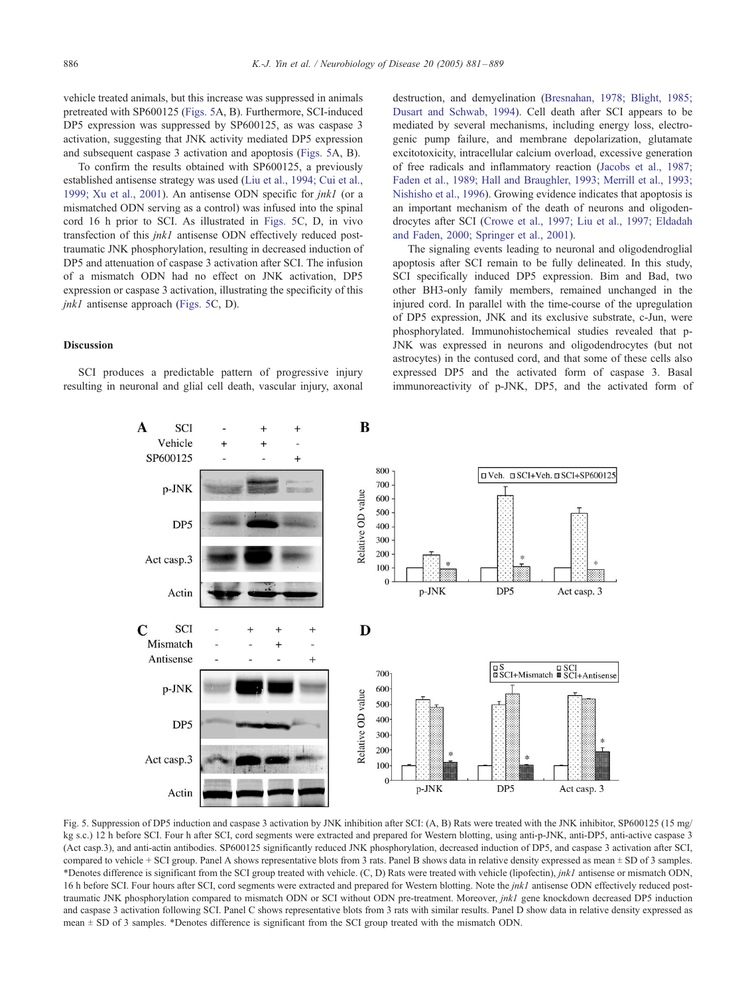vehicle treated animals, but this increase was suppressed in animals pretreated with SP600125 (Figs. 5A, B). Furthermore, SCI-induced DP5 expression was suppressed by SP600125, as was caspase 3 activation, suggesting that JNK activity mediated DP5 expression and subsequent caspase 3 activation and apoptosis (Figs. 5A, B).

To confirm the results obtained with SP600125, a previously established antisense strategy was used ([Liu et al., 1994; Cui et al.,](#page-8-0) 1999; Xu et al., 2001). An antisense ODN specific for jnk1 (or a mismatched ODN serving as a control) was infused into the spinal cord 16 h prior to SCI. As illustrated in Figs. 5C, D, in vivo transfection of this *ink1* antisense ODN effectively reduced posttraumatic JNK phosphorylation, resulting in decreased induction of DP5 and attenuation of caspase 3 activation after SCI. The infusion of a mismatch ODN had no effect on JNK activation, DP5 expression or caspase 3 activation, illustrating the specificity of this jnk1 antisense approach (Figs. 5C, D).

destruction, and demyelination ([Bresnahan, 1978; Blight, 1985;](#page-7-0) Dusart and Schwab, 1994). Cell death after SCI appears to be mediated by several mechanisms, including energy loss, electrogenic pump failure, and membrane depolarization, glutamate excitotoxicity, intracellular calcium overload, excessive generation of free radicals and inflammatory reaction ([Jacobs et al., 1987;](#page-7-0) Faden et al., 1989; Hall and Braughler, 1993; Merrill et al., 1993; Nishisho et al., 1996). Growing evidence indicates that apoptosis is an important mechanism of the death of neurons and oligodendrocytes after SCI ([Crowe et al., 1997; Liu et al., 1997; Eldadah](#page-7-0) and Faden, 2000; Springer et al., 2001).

The signaling events leading to neuronal and oligodendroglial apoptosis after SCI remain to be fully delineated. In this study, SCI specifically induced DP5 expression. Bim and Bad, two other BH3-only family members, remained unchanged in the injured cord. In parallel with the time-course of the upregulation of DP5 expression, JNK and its exclusive substrate, c-Jun, were phosphorylated. Immunohistochemical studies revealed that p-JNK was expressed in neurons and oligodendrocytes (but not astrocytes) in the contused cord, and that some of these cells also expressed DP5 and the activated form of caspase 3. Basal immunoreactivity of p-JNK, DP5, and the activated form of

## Discussion

SCI produces a predictable pattern of progressive injury resulting in neuronal and glial cell death, vascular injury, axonal



Fig. 5. Suppression of DP5 induction and caspase 3 activation by JNK inhibition after SCI: (A, B) Rats were treated with the JNK inhibitor, SP600125 (15 mg/ kg s.c.) 12 h before SCI. Four h after SCI, cord segments were extracted and prepared for Western blotting, using anti-p-JNK, anti-DP5, anti-active caspase 3 (Act casp.3), and anti-actin antibodies. SP600125 significantly reduced JNK phosphorylation, decreased induction of DP5, and caspase 3 activation after SCI, compared to vehicle + SCI group. Panel A shows representative blots from 3 rats. Panel B shows data in relative density expressed as mean  $\pm$  SD of 3 samples. \*Denotes difference is significant from the SCI group treated with vehicle. (C, D) Rats were treated with vehicle (lipofectin), jnk1 antisense or mismatch ODN, 16 h before SCI. Four hours after SCI, cord segments were extracted and prepared for Western blotting. Note the *jnk1* antisense ODN effectively reduced posttraumatic JNK phosphorylation compared to mismatch ODN or SCI without ODN pre-treatment. Moreover, *jnk1* gene knockdown decreased DP5 induction and caspase 3 activation following SCI. Panel C shows representative blots from 3 rats with similar results. Panel D show data in relative density expressed as mean  $\pm$  SD of 3 samples. \*Denotes difference is significant from the SCI group treated with the mismatch ODN.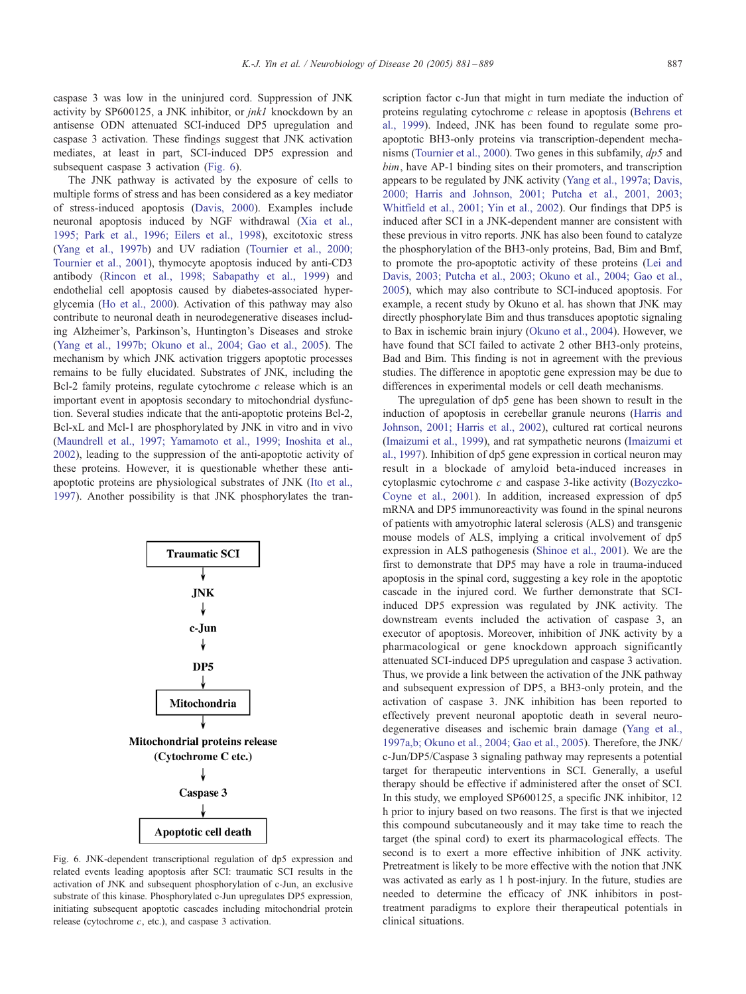caspase 3 was low in the uninjured cord. Suppression of JNK activity by SP600125, a JNK inhibitor, or jnk1 knockdown by an antisense ODN attenuated SCI-induced DP5 upregulation and caspase 3 activation. These findings suggest that JNK activation mediates, at least in part, SCI-induced DP5 expression and subsequent caspase 3 activation (Fig. 6).

The JNK pathway is activated by the exposure of cells to multiple forms of stress and has been considered as a key mediator of stress-induced apoptosis ([Davis, 2000\)](#page-7-0). Examples include neuronal apoptosis induced by NGF withdrawal ([Xia et al.,](#page-8-0) 1995; Park et al., 1996; Eilers et al., 1998), excitotoxic stress ([Yang et al., 1997b\)](#page-8-0) and UV radiation ([Tournier et al., 2000;](#page-8-0) Tournier et al., 2001), thymocyte apoptosis induced by anti-CD3 antibody ([Rincon et al., 1998; Sabapathy et al., 1999\)](#page-8-0) and endothelial cell apoptosis caused by diabetes-associated hyperglycemia ([Ho et al., 2000\)](#page-7-0). Activation of this pathway may also contribute to neuronal death in neurodegenerative diseases including Alzheimer's, Parkinson's, Huntington's Diseases and stroke ([Yang et al., 1997b; Okuno et al., 2004; Gao et al., 2005\)](#page-8-0). The mechanism by which JNK activation triggers apoptotic processes remains to be fully elucidated. Substrates of JNK, including the Bcl-2 family proteins, regulate cytochrome  $c$  release which is an important event in apoptosis secondary to mitochondrial dysfunction. Several studies indicate that the anti-apoptotic proteins Bcl-2, Bcl-xL and Mcl-1 are phosphorylated by JNK in vitro and in vivo ([Maundrell et al., 1997; Yamamoto et al., 1999; Inoshita et al.,](#page-8-0) 2002), leading to the suppression of the anti-apoptotic activity of these proteins. However, it is questionable whether these antiapoptotic proteins are physiological substrates of JNK ([Ito et al.,](#page-7-0) 1997). Another possibility is that JNK phosphorylates the tran-



Fig. 6. JNK-dependent transcriptional regulation of dp5 expression and related events leading apoptosis after SCI: traumatic SCI results in the activation of JNK and subsequent phosphorylation of c-Jun, an exclusive substrate of this kinase. Phosphorylated c-Jun upregulates DP5 expression, initiating subsequent apoptotic cascades including mitochondrial protein release (cytochrome c, etc.), and caspase 3 activation.

scription factor c-Jun that might in turn mediate the induction of proteins regulating cytochrome c release in apoptosis ([Behrens et](#page-7-0) al., 1999). Indeed, JNK has been found to regulate some proapoptotic BH3-only proteins via transcription-dependent mecha-nisms ([Tournier et al., 2000\)](#page-8-0). Two genes in this subfamily,  $dp5$  and bim, have AP-1 binding sites on their promoters, and transcription appears to be regulated by JNK activity ([Yang et al., 1997a; Davis,](#page-8-0) 2000; Harris and Johnson, 2001; Putcha et al., 2001, 2003; Whitfield et al., 2001; Yin et al., 2002). Our findings that DP5 is induced after SCI in a JNK-dependent manner are consistent with these previous in vitro reports. JNK has also been found to catalyze the phosphorylation of the BH3-only proteins, Bad, Bim and Bmf, to promote the pro-apoptotic activity of these proteins ([Lei and](#page-8-0) Davis, 2003; Putcha et al., 2003; Okuno et al., 2004; Gao et al., 2005), which may also contribute to SCI-induced apoptosis. For example, a recent study by Okuno et al. has shown that JNK may directly phosphorylate Bim and thus transduces apoptotic signaling to Bax in ischemic brain injury ([Okuno et al., 2004\)](#page-8-0). However, we have found that SCI failed to activate 2 other BH3-only proteins, Bad and Bim. This finding is not in agreement with the previous studies. The difference in apoptotic gene expression may be due to differences in experimental models or cell death mechanisms.

The upregulation of dp5 gene has been shown to result in the induction of apoptosis in cerebellar granule neurons ([Harris and](#page-7-0) Johnson, 2001; Harris et al., 2002), cultured rat cortical neurons ([Imaizumi et al., 1999\)](#page-7-0), and rat sympathetic neurons ([Imaizumi et](#page-7-0) al., 1997). Inhibition of dp5 gene expression in cortical neuron may result in a blockade of amyloid beta-induced increases in cytoplasmic cytochrome c and caspase 3-like activity ([Bozyczko-](#page-7-0)Coyne et al., 2001). In addition, increased expression of dp5 mRNA and DP5 immunoreactivity was found in the spinal neurons of patients with amyotrophic lateral sclerosis (ALS) and transgenic mouse models of ALS, implying a critical involvement of dp5 expression in ALS pathogenesis ([Shinoe et al., 2001\)](#page-8-0). We are the first to demonstrate that DP5 may have a role in trauma-induced apoptosis in the spinal cord, suggesting a key role in the apoptotic cascade in the injured cord. We further demonstrate that SCIinduced DP5 expression was regulated by JNK activity. The downstream events included the activation of caspase 3, an executor of apoptosis. Moreover, inhibition of JNK activity by a pharmacological or gene knockdown approach significantly attenuated SCI-induced DP5 upregulation and caspase 3 activation. Thus, we provide a link between the activation of the JNK pathway and subsequent expression of DP5, a BH3-only protein, and the activation of caspase 3. JNK inhibition has been reported to effectively prevent neuronal apoptotic death in several neurodegenerative diseases and ischemic brain damage ([Yang et al.,](#page-8-0) 1997a,b; Okuno et al., 2004; Gao et al., 2005). Therefore, the JNK/ c-Jun/DP5/Caspase 3 signaling pathway may represents a potential target for therapeutic interventions in SCI. Generally, a useful therapy should be effective if administered after the onset of SCI. In this study, we employed SP600125, a specific JNK inhibitor, 12 h prior to injury based on two reasons. The first is that we injected this compound subcutaneously and it may take time to reach the target (the spinal cord) to exert its pharmacological effects. The second is to exert a more effective inhibition of JNK activity. Pretreatment is likely to be more effective with the notion that JNK was activated as early as 1 h post-injury. In the future, studies are needed to determine the efficacy of JNK inhibitors in posttreatment paradigms to explore their therapeutical potentials in clinical situations.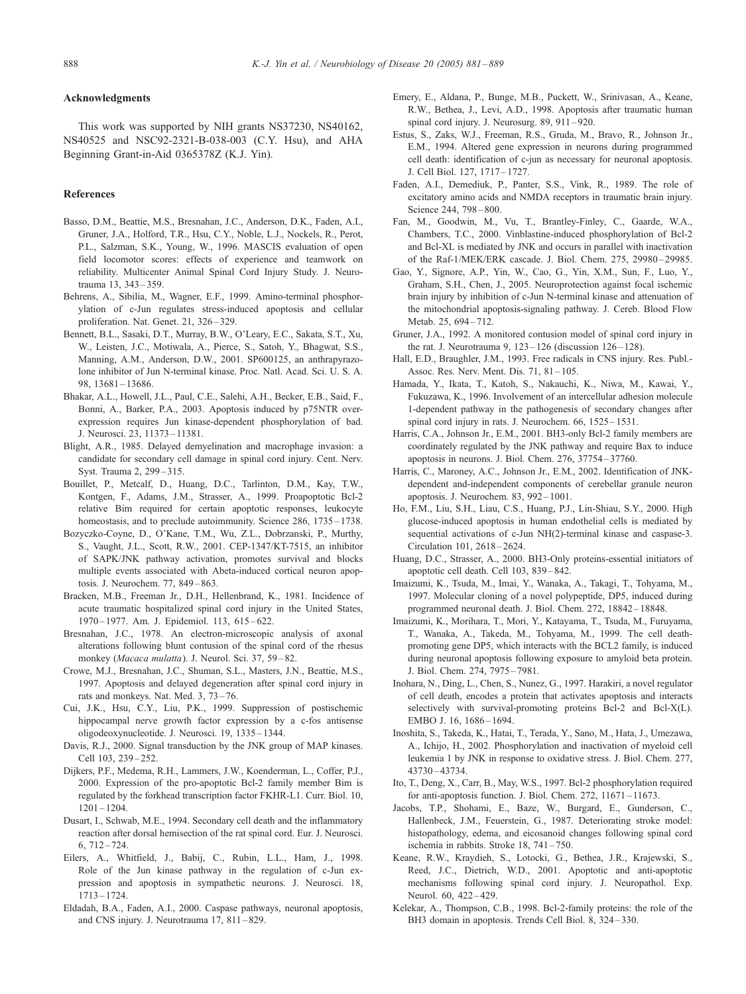## <span id="page-7-0"></span>Acknowledgments

This work was supported by NIH grants NS37230, NS40162, NS40525 and NSC92-2321-B-038-003 (C.Y. Hsu), and AHA Beginning Grant-in-Aid 0365378Z (K.J. Yin).

#### References

- Basso, D.M., Beattie, M.S., Bresnahan, J.C., Anderson, D.K., Faden, A.I., Gruner, J.A., Holford, T.R., Hsu, C.Y., Noble, L.J., Nockels, R., Perot, P.L., Salzman, S.K., Young, W., 1996. MASCIS evaluation of open field locomotor scores: effects of experience and teamwork on reliability. Multicenter Animal Spinal Cord Injury Study. J. Neurotrauma 13, 343 – 359.
- Behrens, A., Sibilia, M., Wagner, E.F., 1999. Amino-terminal phosphorylation of c-Jun regulates stress-induced apoptosis and cellular proliferation. Nat. Genet. 21, 326 – 329.
- Bennett, B.L., Sasaki, D.T., Murray, B.W., O'Leary, E.C., Sakata, S.T., Xu, W., Leisten, J.C., Motiwala, A., Pierce, S., Satoh, Y., Bhagwat, S.S., Manning, A.M., Anderson, D.W., 2001. SP600125, an anthrapyrazolone inhibitor of Jun N-terminal kinase. Proc. Natl. Acad. Sci. U. S. A. 98, 13681 – 13686.
- Bhakar, A.L., Howell, J.L., Paul, C.E., Salehi, A.H., Becker, E.B., Said, F., Bonni, A., Barker, P.A., 2003. Apoptosis induced by p75NTR overexpression requires Jun kinase-dependent phosphorylation of bad. J. Neurosci. 23, 11373 – 11381.
- Blight, A.R., 1985. Delayed demyelination and macrophage invasion: a candidate for secondary cell damage in spinal cord injury. Cent. Nerv. Syst. Trauma 2, 299 – 315.
- Bouillet, P., Metcalf, D., Huang, D.C., Tarlinton, D.M., Kay, T.W., Kontgen, F., Adams, J.M., Strasser, A., 1999. Proapoptotic Bcl-2 relative Bim required for certain apoptotic responses, leukocyte homeostasis, and to preclude autoimmunity. Science 286, 1735–1738.
- Bozyczko-Coyne, D., O'Kane, T.M., Wu, Z.L., Dobrzanski, P., Murthy, S., Vaught, J.L., Scott, R.W., 2001. CEP-1347/KT-7515, an inhibitor of SAPK/JNK pathway activation, promotes survival and blocks multiple events associated with Abeta-induced cortical neuron apoptosis. J. Neurochem. 77, 849 – 863.
- Bracken, M.B., Freeman Jr., D.H., Hellenbrand, K., 1981. Incidence of acute traumatic hospitalized spinal cord injury in the United States, 1970 – 1977. Am. J. Epidemiol. 113, 615 – 622.
- Bresnahan, J.C., 1978. An electron-microscopic analysis of axonal alterations following blunt contusion of the spinal cord of the rhesus monkey (Macaca mulatta). J. Neurol. Sci. 37, 59-82.
- Crowe, M.J., Bresnahan, J.C., Shuman, S.L., Masters, J.N., Beattie, M.S., 1997. Apoptosis and delayed degeneration after spinal cord injury in rats and monkeys. Nat. Med. 3, 73 – 76.
- Cui, J.K., Hsu, C.Y., Liu, P.K., 1999. Suppression of postischemic hippocampal nerve growth factor expression by a c-fos antisense oligodeoxynucleotide. J. Neurosci. 19, 1335 – 1344.
- Davis, R.J., 2000. Signal transduction by the JNK group of MAP kinases. Cell 103, 239 – 252.
- Dijkers, P.F., Medema, R.H., Lammers, J.W., Koenderman, L., Coffer, P.J., 2000. Expression of the pro-apoptotic Bcl-2 family member Bim is regulated by the forkhead transcription factor FKHR-L1. Curr. Biol. 10, 1201 – 1204.
- Dusart, I., Schwab, M.E., 1994. Secondary cell death and the inflammatory reaction after dorsal hemisection of the rat spinal cord. Eur. J. Neurosci. 6, 712 – 724.
- Eilers, A., Whitfield, J., Babij, C., Rubin, L.L., Ham, J., 1998. Role of the Jun kinase pathway in the regulation of c-Jun expression and apoptosis in sympathetic neurons. J. Neurosci. 18, 1713 – 1724.
- Eldadah, B.A., Faden, A.I., 2000. Caspase pathways, neuronal apoptosis, and CNS injury. J. Neurotrauma 17, 811 – 829.
- Emery, E., Aldana, P., Bunge, M.B., Puckett, W., Srinivasan, A., Keane, R.W., Bethea, J., Levi, A.D., 1998. Apoptosis after traumatic human spinal cord injury. J. Neurosurg. 89, 911-920.
- Estus, S., Zaks, W.J., Freeman, R.S., Gruda, M., Bravo, R., Johnson Jr., E.M., 1994. Altered gene expression in neurons during programmed cell death: identification of c-jun as necessary for neuronal apoptosis. J. Cell Biol. 127, 1717 – 1727.
- Faden, A.I., Demediuk, P., Panter, S.S., Vink, R., 1989. The role of excitatory amino acids and NMDA receptors in traumatic brain injury. Science 244, 798-800.
- Fan, M., Goodwin, M., Vu, T., Brantley-Finley, C., Gaarde, W.A., Chambers, T.C., 2000. Vinblastine-induced phosphorylation of Bcl-2 and Bcl-XL is mediated by JNK and occurs in parallel with inactivation of the Raf-1/MEK/ERK cascade. J. Biol. Chem. 275, 29980 – 29985.
- Gao, Y., Signore, A.P., Yin, W., Cao, G., Yin, X.M., Sun, F., Luo, Y., Graham, S.H., Chen, J., 2005. Neuroprotection against focal ischemic brain injury by inhibition of c-Jun N-terminal kinase and attenuation of the mitochondrial apoptosis-signaling pathway. J. Cereb. Blood Flow Metab. 25, 694-712.
- Gruner, J.A., 1992. A monitored contusion model of spinal cord injury in the rat. J. Neurotrauma 9, 123-126 (discussion 126-128).
- Hall, E.D., Braughler, J.M., 1993. Free radicals in CNS injury. Res. Publ.- Assoc. Res. Nerv. Ment. Dis. 71, 81 – 105.
- Hamada, Y., Ikata, T., Katoh, S., Nakauchi, K., Niwa, M., Kawai, Y., Fukuzawa, K., 1996. Involvement of an intercellular adhesion molecule 1-dependent pathway in the pathogenesis of secondary changes after spinal cord injury in rats. J. Neurochem. 66, 1525-1531.
- Harris, C.A., Johnson Jr., E.M., 2001. BH3-only Bcl-2 family members are coordinately regulated by the JNK pathway and require Bax to induce apoptosis in neurons. J. Biol. Chem. 276, 37754 – 37760.
- Harris, C., Maroney, A.C., Johnson Jr., E.M., 2002. Identification of JNKdependent and-independent components of cerebellar granule neuron apoptosis. J. Neurochem. 83, 992 – 1001.
- Ho, F.M., Liu, S.H., Liau, C.S., Huang, P.J., Lin-Shiau, S.Y., 2000. High glucose-induced apoptosis in human endothelial cells is mediated by sequential activations of c-Jun NH(2)-terminal kinase and caspase-3. Circulation 101, 2618 – 2624.
- Huang, D.C., Strasser, A., 2000. BH3-Only proteins-essential initiators of apoptotic cell death. Cell 103, 839 – 842.
- Imaizumi, K., Tsuda, M., Imai, Y., Wanaka, A., Takagi, T., Tohyama, M., 1997. Molecular cloning of a novel polypeptide, DP5, induced during programmed neuronal death. J. Biol. Chem. 272, 18842 – 18848.
- Imaizumi, K., Morihara, T., Mori, Y., Katayama, T., Tsuda, M., Furuyama, T., Wanaka, A., Takeda, M., Tohyama, M., 1999. The cell deathpromoting gene DP5, which interacts with the BCL2 family, is induced during neuronal apoptosis following exposure to amyloid beta protein. J. Biol. Chem. 274, 7975 – 7981.
- Inohara, N., Ding, L., Chen, S., Nunez, G., 1997. Harakiri, a novel regulator of cell death, encodes a protein that activates apoptosis and interacts selectively with survival-promoting proteins Bcl-2 and Bcl-X(L). EMBO J. 16, 1686 – 1694.
- Inoshita, S., Takeda, K., Hatai, T., Terada, Y., Sano, M., Hata, J., Umezawa, A., Ichijo, H., 2002. Phosphorylation and inactivation of myeloid cell leukemia 1 by JNK in response to oxidative stress. J. Biol. Chem. 277, 43730 – 43734.
- Ito, T., Deng, X., Carr, B., May, W.S., 1997. Bcl-2 phosphorylation required for anti-apoptosis function. J. Biol. Chem. 272, 11671 – 11673.
- Jacobs, T.P., Shohami, E., Baze, W., Burgard, E., Gunderson, C., Hallenbeck, J.M., Feuerstein, G., 1987. Deteriorating stroke model: histopathology, edema, and eicosanoid changes following spinal cord ischemia in rabbits. Stroke 18, 741 – 750.
- Keane, R.W., Kraydieh, S., Lotocki, G., Bethea, J.R., Krajewski, S., Reed, J.C., Dietrich, W.D., 2001. Apoptotic and anti-apoptotic mechanisms following spinal cord injury. J. Neuropathol. Exp. Neurol. 60, 422-429.
- Kelekar, A., Thompson, C.B., 1998. Bcl-2-family proteins: the role of the BH3 domain in apoptosis. Trends Cell Biol. 8, 324 – 330.